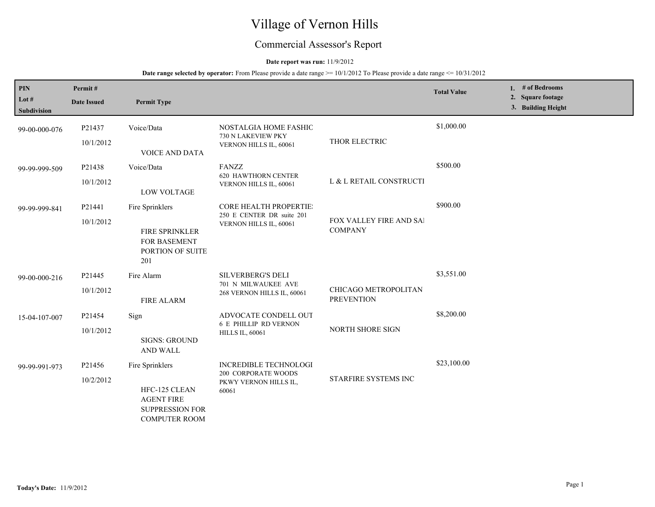# Village of Vernon Hills

## Commercial Assessor's Report

## **Date report was run:** 11/9/2012

| <b>PIN</b><br>Lot $#$<br>Subdivision | Permit#<br><b>Date Issued</b> | <b>Permit Type</b>                                                                                      |                                                                                              |                                           | <b>Total Value</b> | 1. $#$ of Bedrooms<br>2. Square footage<br>3. Building Height |
|--------------------------------------|-------------------------------|---------------------------------------------------------------------------------------------------------|----------------------------------------------------------------------------------------------|-------------------------------------------|--------------------|---------------------------------------------------------------|
| 99-00-000-076                        | P21437<br>10/1/2012           | Voice/Data<br><b>VOICE AND DATA</b>                                                                     | NOSTALGIA HOME FASHIC<br>730 N LAKEVIEW PKY<br>VERNON HILLS IL, 60061                        | THOR ELECTRIC                             | \$1,000.00         |                                                               |
| 99-99-999-509                        | P21438<br>10/1/2012           | Voice/Data<br><b>LOW VOLTAGE</b>                                                                        | <b>FANZZ</b><br>620 HAWTHORN CENTER<br>VERNON HILLS IL, 60061                                | L & L RETAIL CONSTRUCTI                   | \$500.00           |                                                               |
| 99-99-999-841                        | P21441<br>10/1/2012           | Fire Sprinklers<br>FIRE SPRINKLER<br>FOR BASEMENT<br>PORTION OF SUITE<br>201                            | <b>CORE HEALTH PROPERTIE:</b><br>250 E CENTER DR suite 201<br>VERNON HILLS IL, 60061         | FOX VALLEY FIRE AND SAI<br><b>COMPANY</b> | \$900.00           |                                                               |
| 99-00-000-216                        | P21445<br>10/1/2012           | Fire Alarm<br>FIRE ALARM                                                                                | <b>SILVERBERG'S DELI</b><br>701 N MILWAUKEE AVE<br>268 VERNON HILLS IL, 60061                | CHICAGO METROPOLITAN<br><b>PREVENTION</b> | \$3,551.00         |                                                               |
| 15-04-107-007                        | P21454<br>10/1/2012           | Sign<br><b>SIGNS: GROUND</b><br><b>AND WALL</b>                                                         | ADVOCATE CONDELL OUT<br><b>6 E PHILLIP RD VERNON</b><br><b>HILLS IL, 60061</b>               | NORTH SHORE SIGN                          | \$8,200.00         |                                                               |
| 99-99-991-973                        | P21456<br>10/2/2012           | Fire Sprinklers<br>HFC-125 CLEAN<br><b>AGENT FIRE</b><br><b>SUPPRESSION FOR</b><br><b>COMPUTER ROOM</b> | <b>INCREDIBLE TECHNOLOGI</b><br><b>200 CORPORATE WOODS</b><br>PKWY VERNON HILLS IL,<br>60061 | STARFIRE SYSTEMS INC                      | \$23,100.00        |                                                               |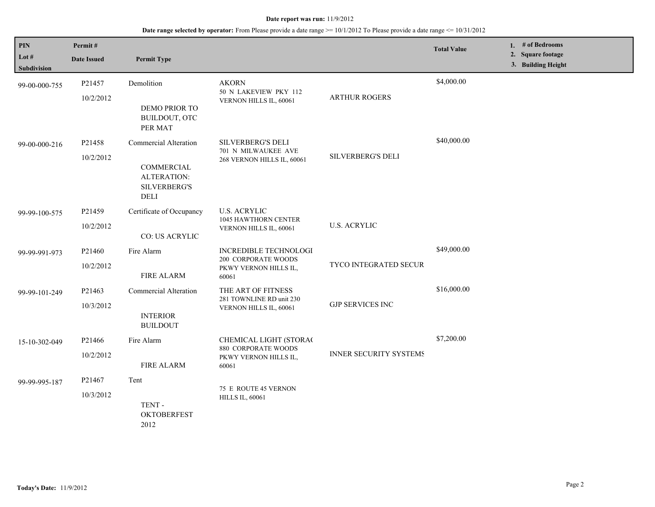| PIN<br>Lot #<br><b>Subdivision</b> | Permit#<br><b>Date Issued</b>   | <b>Permit Type</b>                                                                       |                                                                                       |                               | <b>Total Value</b> |  | 1. $#$ of Bedrooms<br>2. Square footage<br>3. Building Height |  |
|------------------------------------|---------------------------------|------------------------------------------------------------------------------------------|---------------------------------------------------------------------------------------|-------------------------------|--------------------|--|---------------------------------------------------------------|--|
| 99-00-000-755                      | P21457<br>10/2/2012             | Demolition<br>DEMO PRIOR TO<br>BUILDOUT, OTC<br>PER MAT                                  | <b>AKORN</b><br>50 N LAKEVIEW PKY 112<br>VERNON HILLS IL, 60061                       | <b>ARTHUR ROGERS</b>          | \$4,000.00         |  |                                                               |  |
| 99-00-000-216                      | P21458<br>10/2/2012             | Commercial Alteration<br>COMMERCIAL<br><b>ALTERATION:</b><br><b>SILVERBERG'S</b><br>DELI | <b>SILVERBERG'S DELI</b><br>701 N MILWAUKEE AVE<br>268 VERNON HILLS IL, 60061         | SILVERBERG'S DELI             | \$40,000.00        |  |                                                               |  |
| 99-99-100-575                      | P21459<br>10/2/2012             | Certificate of Occupancy<br><b>CO: US ACRYLIC</b>                                        | <b>U.S. ACRYLIC</b><br>1045 HAWTHORN CENTER<br>VERNON HILLS IL, 60061                 | <b>U.S. ACRYLIC</b>           |                    |  |                                                               |  |
| 99-99-991-973                      | P21460<br>10/2/2012             | Fire Alarm<br><b>FIRE ALARM</b>                                                          | <b>INCREDIBLE TECHNOLOGI</b><br>200 CORPORATE WOODS<br>PKWY VERNON HILLS IL,<br>60061 | TYCO INTEGRATED SECUR         | \$49,000.00        |  |                                                               |  |
| 99-99-101-249                      | P21463<br>10/3/2012             | Commercial Alteration<br><b>INTERIOR</b><br><b>BUILDOUT</b>                              | THE ART OF FITNESS<br>281 TOWNLINE RD unit 230<br>VERNON HILLS IL, 60061              | <b>GJP SERVICES INC</b>       | \$16,000.00        |  |                                                               |  |
| 15-10-302-049                      | P <sub>21466</sub><br>10/2/2012 | Fire Alarm<br><b>FIRE ALARM</b>                                                          | CHEMICAL LIGHT (STORAC<br>880 CORPORATE WOODS<br>PKWY VERNON HILLS IL,<br>60061       | <b>INNER SECURITY SYSTEMS</b> | \$7,200.00         |  |                                                               |  |
| 99-99-995-187                      | P21467<br>10/3/2012             | Tent<br>TENT-<br><b>OKTOBERFEST</b><br>2012                                              | 75 E ROUTE 45 VERNON<br><b>HILLS IL, 60061</b>                                        |                               |                    |  |                                                               |  |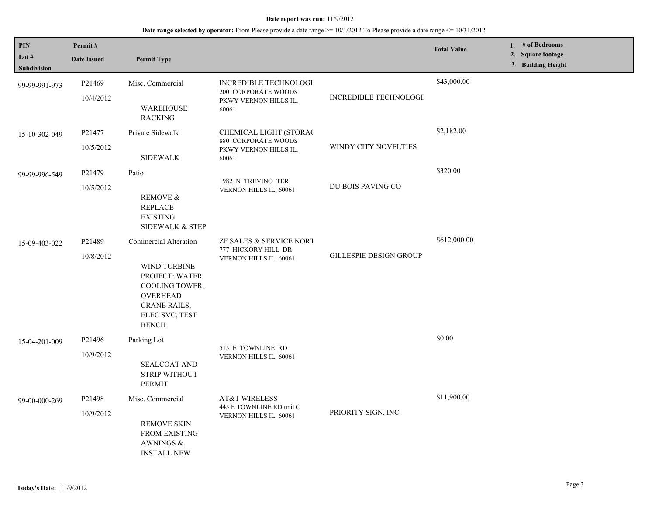| <b>PIN</b>           | Permit#             |                                                                                                                                                       |                                                                          |                               | <b>Total Value</b> | 1. $#$ of Bedrooms<br>2. Square footage |
|----------------------|---------------------|-------------------------------------------------------------------------------------------------------------------------------------------------------|--------------------------------------------------------------------------|-------------------------------|--------------------|-----------------------------------------|
| Lot #<br>Subdivision | <b>Date Issued</b>  | <b>Permit Type</b>                                                                                                                                    |                                                                          |                               |                    | 3. Building Height                      |
| 99-99-991-973        | P21469              | Misc. Commercial                                                                                                                                      | INCREDIBLE TECHNOLOGI<br>200 CORPORATE WOODS                             |                               | \$43,000.00        |                                         |
|                      | 10/4/2012           | <b>WAREHOUSE</b><br><b>RACKING</b>                                                                                                                    | PKWY VERNON HILLS IL,<br>60061                                           | INCREDIBLE TECHNOLOGI         |                    |                                         |
| 15-10-302-049        | P21477              | Private Sidewalk                                                                                                                                      | CHEMICAL LIGHT (STORAC<br>880 CORPORATE WOODS                            |                               | \$2,182.00         |                                         |
|                      | 10/5/2012           | <b>SIDEWALK</b>                                                                                                                                       | PKWY VERNON HILLS IL,<br>60061                                           | WINDY CITY NOVELTIES          |                    |                                         |
| 99-99-996-549        | P <sub>21479</sub>  | Patio                                                                                                                                                 | 1982 N TREVINO TER                                                       |                               | \$320.00           |                                         |
|                      | 10/5/2012           | REMOVE &<br><b>REPLACE</b><br><b>EXISTING</b><br>SIDEWALK & STEP                                                                                      | VERNON HILLS IL, 60061                                                   | DU BOIS PAVING CO             |                    |                                         |
| 15-09-403-022        | P21489<br>10/8/2012 | <b>Commercial Alteration</b><br>WIND TURBINE<br>PROJECT: WATER<br>COOLING TOWER,<br>OVERHEAD<br><b>CRANE RAILS,</b><br>ELEC SVC, TEST<br><b>BENCH</b> | ZF SALES & SERVICE NORT<br>777 HICKORY HILL DR<br>VERNON HILLS IL, 60061 | <b>GILLESPIE DESIGN GROUP</b> | \$612,000.00       |                                         |
| 15-04-201-009        | P21496              | Parking Lot                                                                                                                                           | 515 E TOWNLINE RD                                                        |                               | \$0.00             |                                         |
|                      | 10/9/2012           | <b>SEALCOAT AND</b><br><b>STRIP WITHOUT</b><br>PERMIT                                                                                                 | VERNON HILLS IL, 60061                                                   |                               |                    |                                         |
| 99-00-000-269        | P21498              | Misc. Commercial                                                                                                                                      | <b>AT&amp;T WIRELESS</b><br>445 E TOWNLINE RD unit C                     |                               | \$11,900.00        |                                         |
|                      | 10/9/2012           | <b>REMOVE SKIN</b><br><b>FROM EXISTING</b><br>AWNINGS $\&$<br><b>INSTALL NEW</b>                                                                      | VERNON HILLS IL, 60061                                                   | PRIORITY SIGN, INC            |                    |                                         |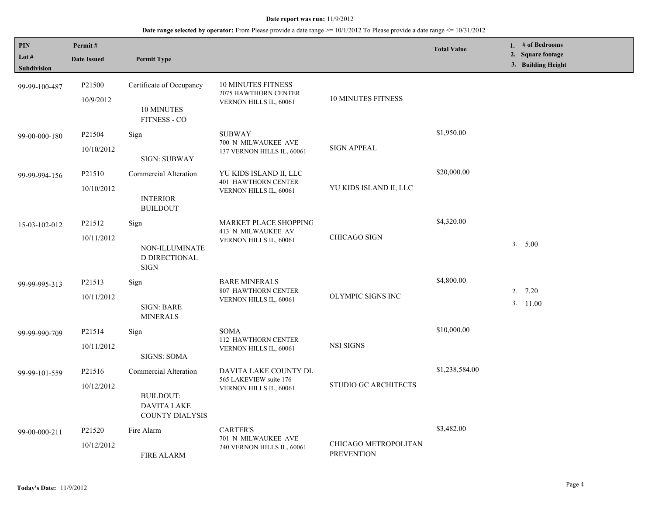| PIN<br>Lot $#$<br><b>Subdivision</b> | Permit#<br><b>Date Issued</b>   | <b>Permit Type</b>                                                                        |                                                                                |                                           | <b>Total Value</b> | 1. # of Bedrooms<br>2. Square footage<br>3. Building Height |
|--------------------------------------|---------------------------------|-------------------------------------------------------------------------------------------|--------------------------------------------------------------------------------|-------------------------------------------|--------------------|-------------------------------------------------------------|
| 99-99-100-487                        | P <sub>21500</sub><br>10/9/2012 | Certificate of Occupancy<br>10 MINUTES<br><b>FITNESS - CO</b>                             | 10 MINUTES FITNESS<br>2075 HAWTHORN CENTER<br>VERNON HILLS IL, 60061           | <b>10 MINUTES FITNESS</b>                 |                    |                                                             |
| 99-00-000-180                        | P21504<br>10/10/2012            | Sign<br><b>SIGN: SUBWAY</b>                                                               | <b>SUBWAY</b><br>700 N MILWAUKEE AVE<br>137 VERNON HILLS IL, 60061             | <b>SIGN APPEAL</b>                        | \$1,950.00         |                                                             |
| 99-99-994-156                        | P21510<br>10/10/2012            | Commercial Alteration<br><b>INTERIOR</b><br><b>BUILDOUT</b>                               | YU KIDS ISLAND II, LLC<br><b>401 HAWTHORN CENTER</b><br>VERNON HILLS IL, 60061 | YU KIDS ISLAND II, LLC                    | \$20,000.00        |                                                             |
| 15-03-102-012                        | P21512<br>10/11/2012            | Sign<br>NON-ILLUMINATE<br>D DIRECTIONAL<br><b>SIGN</b>                                    | MARKET PLACE SHOPPING<br>413 N MILWAUKEE AV<br>VERNON HILLS IL, 60061          | <b>CHICAGO SIGN</b>                       | \$4,320.00         | 3. 5.00                                                     |
| 99-99-995-313                        | P21513<br>10/11/2012            | Sign<br>SIGN: BARE<br><b>MINERALS</b>                                                     | <b>BARE MINERALS</b><br>807 HAWTHORN CENTER<br>VERNON HILLS IL, 60061          | OLYMPIC SIGNS INC                         | \$4,800.00         | 2.7.20<br>3. 11.00                                          |
| 99-99-990-709                        | P21514<br>10/11/2012            | Sign<br><b>SIGNS: SOMA</b>                                                                | <b>SOMA</b><br>112 HAWTHORN CENTER<br>VERNON HILLS IL, 60061                   | <b>NSI SIGNS</b>                          | \$10,000.00        |                                                             |
| 99-99-101-559                        | P21516<br>10/12/2012            | <b>Commercial Alteration</b><br>BUILDOUT:<br><b>DAVITA LAKE</b><br><b>COUNTY DIALYSIS</b> | DAVITA LAKE COUNTY DL<br>565 LAKEVIEW suite 176<br>VERNON HILLS IL, 60061      | STUDIO GC ARCHITECTS                      | \$1,238,584.00     |                                                             |
| 99-00-000-211                        | P21520<br>10/12/2012            | Fire Alarm<br><b>FIRE ALARM</b>                                                           | <b>CARTER'S</b><br>701 N MILWAUKEE AVE<br>240 VERNON HILLS IL, 60061           | CHICAGO METROPOLITAN<br><b>PREVENTION</b> | \$3,482.00         |                                                             |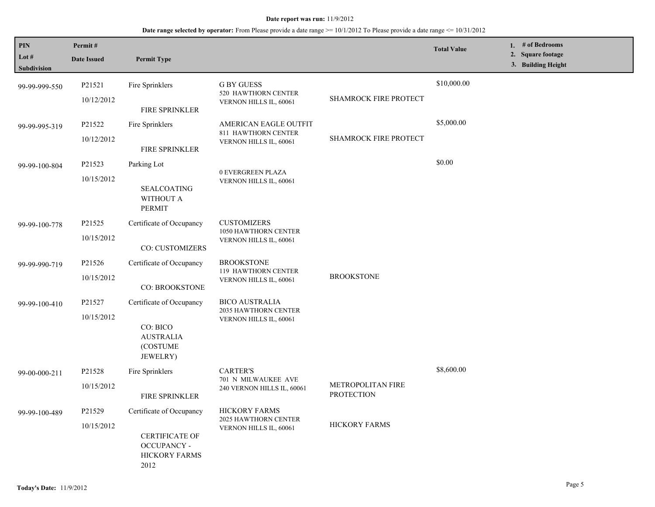| <b>PIN</b><br>Lot $#$                 | Permit#<br><b>Date Issued</b>                                                             | <b>Permit Type</b>                                   |                                               |                                        | <b>Total Value</b> | 1. # of Bedrooms<br>2. Square footage |
|---------------------------------------|-------------------------------------------------------------------------------------------|------------------------------------------------------|-----------------------------------------------|----------------------------------------|--------------------|---------------------------------------|
| Subdivision                           |                                                                                           |                                                      |                                               |                                        |                    | 3. Building Height                    |
| 99-99-999-550                         | P21521                                                                                    | Fire Sprinklers                                      | <b>G BY GUESS</b><br>520 HAWTHORN CENTER      |                                        | \$10,000.00        |                                       |
|                                       | 10/12/2012                                                                                | FIRE SPRINKLER                                       | VERNON HILLS IL, 60061                        | SHAMROCK FIRE PROTECT                  |                    |                                       |
| P21522<br>99-99-995-319<br>10/12/2012 |                                                                                           | Fire Sprinklers                                      | AMERICAN EAGLE OUTFIT<br>811 HAWTHORN CENTER  |                                        | \$5,000.00         |                                       |
|                                       |                                                                                           | <b>FIRE SPRINKLER</b>                                | VERNON HILLS IL, 60061                        | SHAMROCK FIRE PROTECT                  |                    |                                       |
| P21523<br>99-99-100-804<br>10/15/2012 |                                                                                           | Parking Lot                                          | 0 EVERGREEN PLAZA                             |                                        | \$0.00             |                                       |
|                                       | <b>SEALCOATING</b><br>WITHOUT A<br><b>PERMIT</b>                                          | VERNON HILLS IL, 60061                               |                                               |                                        |                    |                                       |
| 99-99-100-778                         | P21525                                                                                    | Certificate of Occupancy                             | <b>CUSTOMIZERS</b><br>1050 HAWTHORN CENTER    |                                        |                    |                                       |
|                                       | 10/15/2012                                                                                | CO: CUSTOMIZERS                                      | VERNON HILLS IL, 60061                        |                                        |                    |                                       |
| 99-99-990-719                         | P21526                                                                                    | Certificate of Occupancy                             | <b>BROOKSTONE</b><br>119 HAWTHORN CENTER      |                                        |                    |                                       |
|                                       | 10/15/2012                                                                                | CO: BROOKSTONE                                       | VERNON HILLS IL, 60061                        | <b>BROOKSTONE</b>                      |                    |                                       |
| 99-99-100-410                         | P21527                                                                                    | Certificate of Occupancy                             | <b>BICO AUSTRALIA</b><br>2035 HAWTHORN CENTER |                                        |                    |                                       |
|                                       | 10/15/2012                                                                                | CO: BICO<br><b>AUSTRALIA</b><br>(COSTUME<br>JEWELRY) | VERNON HILLS IL, 60061                        |                                        |                    |                                       |
| 99-00-000-211                         | P21528                                                                                    | Fire Sprinklers                                      | <b>CARTER'S</b><br>701 N MILWAUKEE AVE        |                                        | \$8,600.00         |                                       |
|                                       | 10/15/2012                                                                                | FIRE SPRINKLER                                       | 240 VERNON HILLS IL, 60061                    | METROPOLITAN FIRE<br><b>PROTECTION</b> |                    |                                       |
| 99-99-100-489                         | P21529                                                                                    | Certificate of Occupancy                             | <b>HICKORY FARMS</b><br>2025 HAWTHORN CENTER  |                                        |                    |                                       |
|                                       | 10/15/2012<br><b>CERTIFICATE OF</b><br><b>OCCUPANCY -</b><br><b>HICKORY FARMS</b><br>2012 | VERNON HILLS IL, 60061                               | <b>HICKORY FARMS</b>                          |                                        |                    |                                       |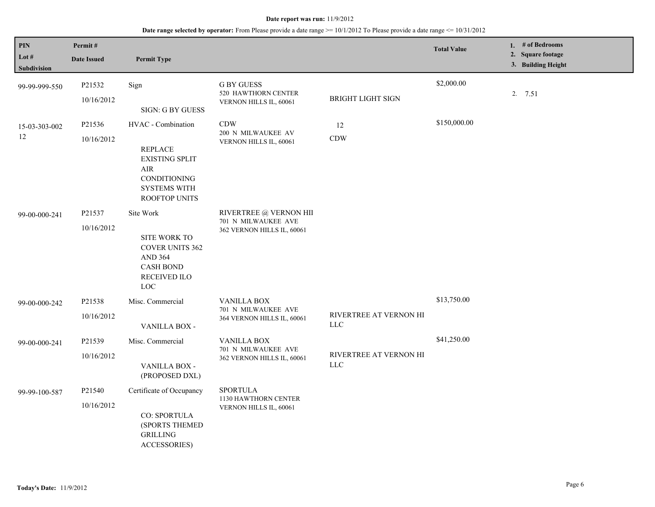| <b>PIN</b><br>Lot #<br>Subdivision | Permit#<br><b>Date Issued</b> | <b>Permit Type</b>                                                                                                                    |                                                                             |                                       | <b>Total Value</b> | 1. # of Bedrooms<br>2. Square footage<br>3. Building Height |
|------------------------------------|-------------------------------|---------------------------------------------------------------------------------------------------------------------------------------|-----------------------------------------------------------------------------|---------------------------------------|--------------------|-------------------------------------------------------------|
| 99-99-999-550                      | P21532<br>10/16/2012          | Sign<br>SIGN: G BY GUESS                                                                                                              | <b>G BY GUESS</b><br>520 HAWTHORN CENTER<br>VERNON HILLS IL, 60061          | <b>BRIGHT LIGHT SIGN</b>              | \$2,000.00         | 2. 7.51                                                     |
| 15-03-303-002<br>12                | P21536<br>10/16/2012          | HVAC - Combination<br><b>REPLACE</b><br><b>EXISTING SPLIT</b><br>AIR<br>CONDITIONING<br><b>SYSTEMS WITH</b><br><b>ROOFTOP UNITS</b>   | <b>CDW</b><br>200 N MILWAUKEE AV<br>VERNON HILLS IL, 60061                  | 12<br><b>CDW</b>                      | \$150,000.00       |                                                             |
| 99-00-000-241                      | P21537<br>10/16/2012          | Site Work<br>SITE WORK TO<br><b>COVER UNITS 362</b><br><b>AND 364</b><br><b>CASH BOND</b><br><b>RECEIVED ILO</b><br>$_{\mathrm{LOC}}$ | RIVERTREE @ VERNON HII<br>701 N MILWAUKEE AVE<br>362 VERNON HILLS IL, 60061 |                                       |                    |                                                             |
| 99-00-000-242                      | P21538<br>10/16/2012          | Misc. Commercial<br>VANILLA BOX -                                                                                                     | <b>VANILLA BOX</b><br>701 N MILWAUKEE AVE<br>364 VERNON HILLS IL, 60061     | RIVERTREE AT VERNON HI<br>$LLC$       | \$13,750.00        |                                                             |
| 99-00-000-241                      | P21539<br>10/16/2012          | Misc. Commercial<br>VANILLA BOX -<br>(PROPOSED DXL)                                                                                   | <b>VANILLA BOX</b><br>701 N MILWAUKEE AVE<br>362 VERNON HILLS IL, 60061     | RIVERTREE AT VERNON HI<br>${\rm LLC}$ | \$41,250.00        |                                                             |
| 99-99-100-587                      | P21540<br>10/16/2012          | Certificate of Occupancy<br><b>CO: SPORTULA</b><br>(SPORTS THEMED<br><b>GRILLING</b><br><b>ACCESSORIES)</b>                           | <b>SPORTULA</b><br>1130 HAWTHORN CENTER<br>VERNON HILLS IL, 60061           |                                       |                    |                                                             |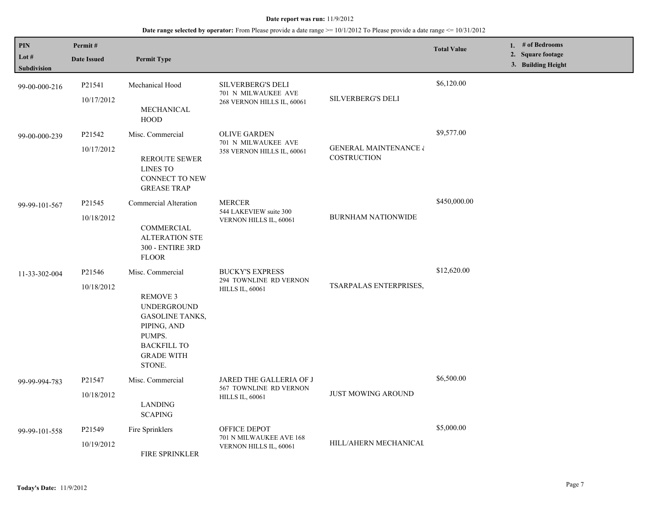| PIN<br>Lot $#$<br><b>Subdivision</b> | Permit#<br><b>Date Issued</b>    | <b>Permit Type</b>                                                                                                                                                |                                                                               |                                                        | <b>Total Value</b> | 1. $#$ of Bedrooms<br>2. Square footage<br>3. Building Height |
|--------------------------------------|----------------------------------|-------------------------------------------------------------------------------------------------------------------------------------------------------------------|-------------------------------------------------------------------------------|--------------------------------------------------------|--------------------|---------------------------------------------------------------|
| 99-00-000-216                        | P21541<br>10/17/2012             | Mechanical Hood<br>MECHANICAL<br><b>HOOD</b>                                                                                                                      | <b>SILVERBERG'S DELI</b><br>701 N MILWAUKEE AVE<br>268 VERNON HILLS IL, 60061 | <b>SILVERBERG'S DELI</b>                               | \$6,120.00         |                                                               |
| 99-00-000-239                        | P21542<br>10/17/2012             | Misc. Commercial<br><b>REROUTE SEWER</b><br><b>LINES TO</b><br>CONNECT TO NEW<br><b>GREASE TRAP</b>                                                               | <b>OLIVE GARDEN</b><br>701 N MILWAUKEE AVE<br>358 VERNON HILLS IL, 60061      | <b>GENERAL MAINTENANCE &amp;</b><br><b>COSTRUCTION</b> | \$9,577.00         |                                                               |
| 99-99-101-567                        | P21545<br>10/18/2012             | Commercial Alteration<br>COMMERCIAL<br><b>ALTERATION STE</b><br>300 - ENTIRE 3RD<br><b>FLOOR</b>                                                                  | <b>MERCER</b><br>544 LAKEVIEW suite 300<br>VERNON HILLS IL, 60061             | <b>BURNHAM NATIONWIDE</b>                              | \$450,000.00       |                                                               |
| 11-33-302-004                        | P21546<br>10/18/2012             | Misc. Commercial<br><b>REMOVE 3</b><br><b>UNDERGROUND</b><br><b>GASOLINE TANKS,</b><br>PIPING, AND<br>PUMPS.<br><b>BACKFILL TO</b><br><b>GRADE WITH</b><br>STONE. | <b>BUCKY'S EXPRESS</b><br>294 TOWNLINE RD VERNON<br><b>HILLS IL, 60061</b>    | TSARPALAS ENTERPRISES,                                 | \$12,620.00        |                                                               |
| 99-99-994-783                        | P21547<br>10/18/2012             | Misc. Commercial<br>LANDING<br><b>SCAPING</b>                                                                                                                     | JARED THE GALLERIA OF J<br>567 TOWNLINE RD VERNON<br><b>HILLS IL, 60061</b>   | <b>JUST MOWING AROUND</b>                              | \$6,500.00         |                                                               |
| 99-99-101-558                        | P <sub>21549</sub><br>10/19/2012 | Fire Sprinklers<br>FIRE SPRINKLER                                                                                                                                 | OFFICE DEPOT<br>701 N MILWAUKEE AVE 168<br>VERNON HILLS IL, 60061             | HILL/AHERN MECHANICAL                                  | \$5,000.00         |                                                               |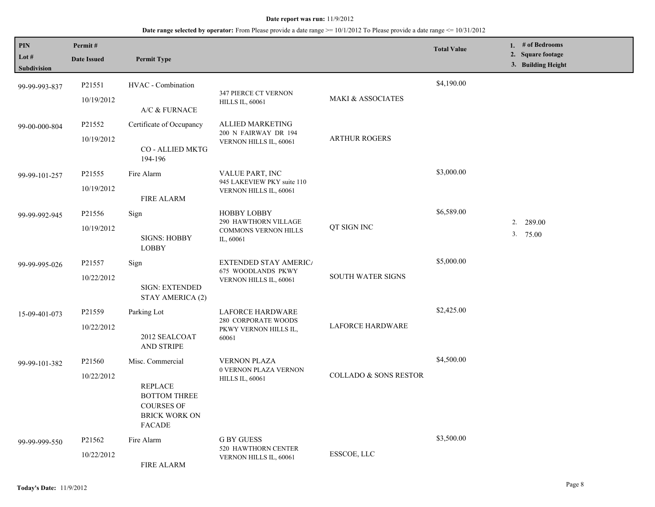| PIN<br>Lot #  | Permit#<br><b>Date Issued</b> | <b>Permit Type</b>                                                                           |                                                       |                          | <b>Total Value</b> | 1. # of Bedrooms<br>2. Square footage |
|---------------|-------------------------------|----------------------------------------------------------------------------------------------|-------------------------------------------------------|--------------------------|--------------------|---------------------------------------|
| Subdivision   |                               |                                                                                              |                                                       |                          |                    | 3. Building Height                    |
| 99-99-993-837 | P21551                        | HVAC - Combination                                                                           | 347 PIERCE CT VERNON                                  |                          | \$4,190.00         |                                       |
|               | 10/19/2012                    | A/C & FURNACE                                                                                | <b>HILLS IL, 60061</b>                                | MAKI & ASSOCIATES        |                    |                                       |
| 99-00-000-804 | P21552                        | Certificate of Occupancy                                                                     | ALLIED MARKETING<br>200 N FAIRWAY DR 194              | <b>ARTHUR ROGERS</b>     |                    |                                       |
|               | 10/19/2012                    | CO - ALLIED MKTG<br>194-196                                                                  | VERNON HILLS IL, 60061                                |                          |                    |                                       |
| 99-99-101-257 | P21555                        | Fire Alarm                                                                                   | VALUE PART, INC<br>945 LAKEVIEW PKY suite 110         |                          | \$3,000.00         |                                       |
|               | 10/19/2012                    | <b>FIRE ALARM</b>                                                                            | VERNON HILLS IL, 60061                                |                          |                    |                                       |
| 99-99-992-945 | P21556                        | Sign                                                                                         | HOBBY LOBBY<br>290 HAWTHORN VILLAGE                   |                          | \$6,589.00         | 289.00<br>2.                          |
|               | 10/19/2012                    | <b>SIGNS: HOBBY</b><br><b>LOBBY</b>                                                          | <b>COMMONS VERNON HILLS</b><br>IL, 60061              | QT SIGN INC              |                    | 3.75.00                               |
| 99-99-995-026 | P21557                        | Sign                                                                                         | <b>EXTENDED STAY AMERICA</b><br>675 WOODLANDS PKWY    |                          | \$5,000.00         |                                       |
|               | 10/22/2012                    | <b>SIGN: EXTENDED</b><br>STAY AMERICA (2)                                                    | VERNON HILLS IL, 60061                                | <b>SOUTH WATER SIGNS</b> |                    |                                       |
| 15-09-401-073 | P21559                        | Parking Lot                                                                                  | <b>LAFORCE HARDWARE</b><br><b>280 CORPORATE WOODS</b> |                          | \$2,425.00         |                                       |
|               | 10/22/2012                    | 2012 SEALCOAT<br><b>AND STRIPE</b>                                                           | PKWY VERNON HILLS IL,<br>60061                        | <b>LAFORCE HARDWARE</b>  |                    |                                       |
| 99-99-101-382 | P21560                        | Misc. Commercial                                                                             | <b>VERNON PLAZA</b><br>0 VERNON PLAZA VERNON          |                          | \$4,500.00         |                                       |
|               | 10/22/2012                    | <b>REPLACE</b><br><b>BOTTOM THREE</b><br><b>COURSES OF</b><br><b>BRICK WORK ON</b><br>FACADE | <b>HILLS IL, 60061</b>                                | COLLADO & SONS RESTOR    |                    |                                       |
| 99-99-999-550 | P21562                        | Fire Alarm                                                                                   | <b>G BY GUESS</b><br>520 HAWTHORN CENTER              |                          | \$3,500.00         |                                       |
|               | 10/22/2012                    | <b>FIRE ALARM</b>                                                                            | VERNON HILLS IL, 60061                                | ESSCOE, LLC              |                    |                                       |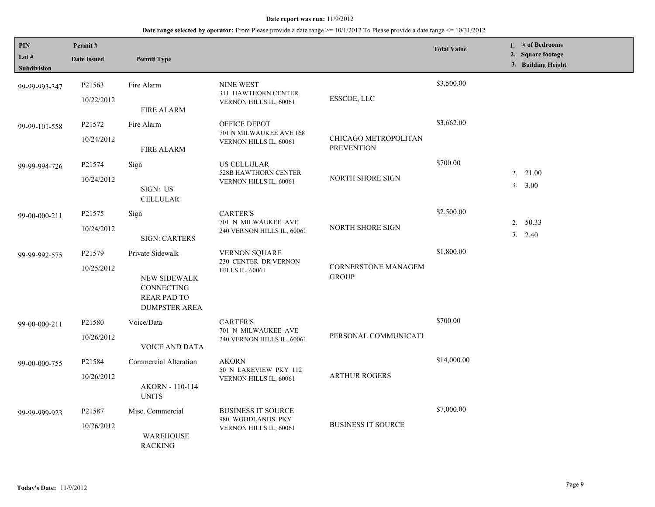| PIN<br>Lot $#$<br><b>Subdivision</b> | Permit#<br><b>Date Issued</b> | <b>Permit Type</b>                                                                                  |                                                                          |                                            | <b>Total Value</b> | 1. # of Bedrooms<br>2. Square footage<br>3. Building Height |
|--------------------------------------|-------------------------------|-----------------------------------------------------------------------------------------------------|--------------------------------------------------------------------------|--------------------------------------------|--------------------|-------------------------------------------------------------|
| 99-99-993-347                        | P21563<br>10/22/2012          | Fire Alarm<br><b>FIRE ALARM</b>                                                                     | <b>NINE WEST</b><br>311 HAWTHORN CENTER<br>VERNON HILLS IL, 60061        | ESSCOE, LLC                                | \$3,500.00         |                                                             |
| 99-99-101-558                        | P21572<br>10/24/2012          | Fire Alarm<br><b>FIRE ALARM</b>                                                                     | OFFICE DEPOT<br>701 N MILWAUKEE AVE 168<br>VERNON HILLS IL, 60061        | CHICAGO METROPOLITAN<br><b>PREVENTION</b>  | \$3,662.00         |                                                             |
| 99-99-994-726                        | P21574<br>10/24/2012          | Sign<br>SIGN: US<br><b>CELLULAR</b>                                                                 | <b>US CELLULAR</b><br>528B HAWTHORN CENTER<br>VERNON HILLS IL, 60061     | NORTH SHORE SIGN                           | \$700.00           | $2. \quad 21.00$<br>3. 3.00                                 |
| 99-00-000-211                        | P21575<br>10/24/2012          | Sign<br><b>SIGN: CARTERS</b>                                                                        | <b>CARTER'S</b><br>701 N MILWAUKEE AVE<br>240 VERNON HILLS IL, 60061     | NORTH SHORE SIGN                           | \$2,500.00         | 2. 50.33<br>3.<br>2.40                                      |
| 99-99-992-575                        | P21579<br>10/25/2012          | Private Sidewalk<br>NEW SIDEWALK<br><b>CONNECTING</b><br><b>REAR PAD TO</b><br><b>DUMPSTER AREA</b> | <b>VERNON SQUARE</b><br>230 CENTER DR VERNON<br><b>HILLS IL, 60061</b>   | <b>CORNERSTONE MANAGEM</b><br><b>GROUP</b> | \$1,800.00         |                                                             |
| 99-00-000-211                        | P21580<br>10/26/2012          | Voice/Data<br><b>VOICE AND DATA</b>                                                                 | <b>CARTER'S</b><br>701 N MILWAUKEE AVE<br>240 VERNON HILLS IL, 60061     | PERSONAL COMMUNICATI                       | \$700.00           |                                                             |
| 99-00-000-755                        | P21584<br>10/26/2012          | Commercial Alteration<br>AKORN - 110-114<br><b>UNITS</b>                                            | <b>AKORN</b><br>50 N LAKEVIEW PKY 112<br>VERNON HILLS IL, 60061          | <b>ARTHUR ROGERS</b>                       | \$14,000.00        |                                                             |
| 99-99-999-923                        | P21587<br>10/26/2012          | Misc. Commercial<br><b>WAREHOUSE</b><br><b>RACKING</b>                                              | <b>BUSINESS IT SOURCE</b><br>980 WOODLANDS PKY<br>VERNON HILLS IL, 60061 | <b>BUSINESS IT SOURCE</b>                  | \$7,000.00         |                                                             |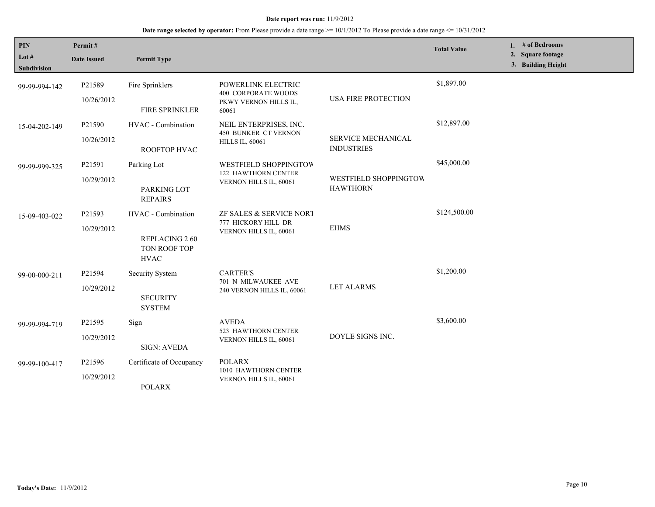## **Date range selected by operator:** From Please provide a date range >= 10/1/2012 To Please provide a date range <= 10/31/2012

| PIN<br>Lot #<br><b>Subdivision</b> | Permit#<br><b>Date Issued</b> | <b>Permit Type</b>                                                 |                                                                                    |                                                | <b>Total Value</b> | 1. $#$ of Bedrooms<br>2. Square footage<br>3. Building Height |
|------------------------------------|-------------------------------|--------------------------------------------------------------------|------------------------------------------------------------------------------------|------------------------------------------------|--------------------|---------------------------------------------------------------|
| 99-99-994-142                      | P21589<br>10/26/2012          | Fire Sprinklers<br>FIRE SPRINKLER                                  | POWERLINK ELECTRIC<br><b>400 CORPORATE WOODS</b><br>PKWY VERNON HILLS IL,<br>60061 | <b>USA FIRE PROTECTION</b>                     | \$1,897.00         |                                                               |
| 15-04-202-149                      | P21590<br>10/26/2012          | HVAC - Combination<br>ROOFTOP HVAC                                 | NEIL ENTERPRISES, INC.<br><b>450 BUNKER CT VERNON</b><br><b>HILLS IL, 60061</b>    | <b>SERVICE MECHANICAL</b><br><b>INDUSTRIES</b> | \$12,897.00        |                                                               |
| 99-99-999-325                      | P21591<br>10/29/2012          | Parking Lot<br>PARKING LOT<br><b>REPAIRS</b>                       | WESTFIELD SHOPPINGTOW<br>122 HAWTHORN CENTER<br>VERNON HILLS IL, 60061             | WESTFIELD SHOPPINGTOW<br><b>HAWTHORN</b>       | \$45,000.00        |                                                               |
| 15-09-403-022                      | P21593<br>10/29/2012          | HVAC - Combination<br>REPLACING 260<br>TON ROOF TOP<br><b>HVAC</b> | ZF SALES & SERVICE NORT<br>777 HICKORY HILL DR<br>VERNON HILLS IL, 60061           | <b>EHMS</b>                                    | \$124,500.00       |                                                               |
| 99-00-000-211                      | P21594<br>10/29/2012          | Security System<br><b>SECURITY</b><br><b>SYSTEM</b>                | <b>CARTER'S</b><br>701 N MILWAUKEE AVE<br>240 VERNON HILLS IL, 60061               | <b>LET ALARMS</b>                              | \$1,200.00         |                                                               |
| 99-99-994-719                      | P21595<br>10/29/2012          | Sign<br><b>SIGN: AVEDA</b>                                         | <b>AVEDA</b><br>523 HAWTHORN CENTER<br>VERNON HILLS IL, 60061                      | DOYLE SIGNS INC.                               | \$3,600.00         |                                                               |
| 99-99-100-417                      | P21596<br>10/29/2012          | Certificate of Occupancy<br><b>POLARX</b>                          | <b>POLARX</b><br>1010 HAWTHORN CENTER<br>VERNON HILLS IL, 60061                    |                                                |                    |                                                               |

L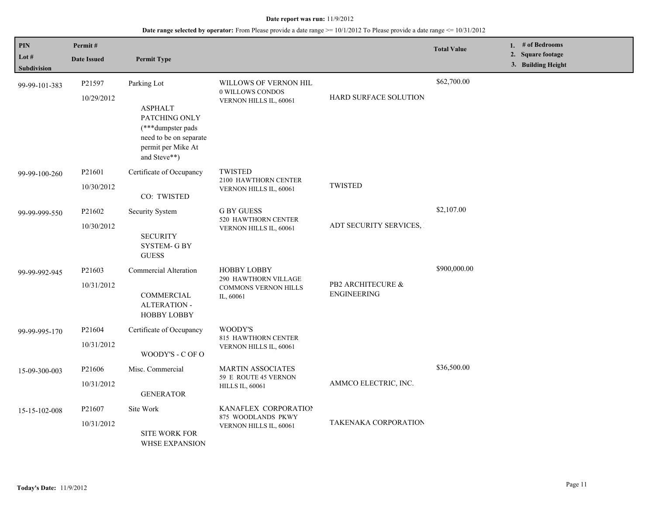| <b>PIN</b>                    | Permit#                          |                                                                                                                                      |                                                                                        |                                         | <b>Total Value</b> | 1. # of Bedrooms                        |
|-------------------------------|----------------------------------|--------------------------------------------------------------------------------------------------------------------------------------|----------------------------------------------------------------------------------------|-----------------------------------------|--------------------|-----------------------------------------|
| Lot $#$<br><b>Subdivision</b> | <b>Date Issued</b>               | <b>Permit Type</b>                                                                                                                   |                                                                                        |                                         |                    | 2. Square footage<br>3. Building Height |
| 99-99-101-383                 | P21597<br>10/29/2012             | Parking Lot<br><b>ASPHALT</b><br>PATCHING ONLY<br>(***dumpster pads)<br>need to be on separate<br>permit per Mike At<br>and Steve**) | WILLOWS OF VERNON HIL<br>0 WILLOWS CONDOS<br>VERNON HILLS IL, 60061                    | HARD SURFACE SOLUTION                   | \$62,700.00        |                                         |
| 99-99-100-260                 | P21601<br>10/30/2012             | Certificate of Occupancy<br>CO: TWISTED                                                                                              | TWISTED<br>2100 HAWTHORN CENTER<br>VERNON HILLS IL, 60061                              | <b>TWISTED</b>                          |                    |                                         |
| 99-99-999-550                 | P21602<br>10/30/2012             | Security System<br><b>SECURITY</b><br><b>SYSTEM- G BY</b><br><b>GUESS</b>                                                            | <b>G BY GUESS</b><br>520 HAWTHORN CENTER<br>VERNON HILLS IL, 60061                     | ADT SECURITY SERVICES,                  | \$2,107.00         |                                         |
| 99-99-992-945                 | P <sub>21603</sub><br>10/31/2012 | Commercial Alteration<br>COMMERCIAL<br><b>ALTERATION -</b><br><b>HOBBY LOBBY</b>                                                     | <b>HOBBY LOBBY</b><br>290 HAWTHORN VILLAGE<br><b>COMMONS VERNON HILLS</b><br>IL, 60061 | PB2 ARCHITECURE &<br><b>ENGINEERING</b> | \$900,000.00       |                                         |
| 99-99-995-170                 | P21604<br>10/31/2012             | Certificate of Occupancy<br>WOODY'S - C OF O                                                                                         | WOODY'S<br>815 HAWTHORN CENTER<br>VERNON HILLS IL, 60061                               |                                         |                    |                                         |
| 15-09-300-003                 | P21606<br>10/31/2012             | Misc. Commercial<br><b>GENERATOR</b>                                                                                                 | <b>MARTIN ASSOCIATES</b><br>59 E ROUTE 45 VERNON<br><b>HILLS IL, 60061</b>             | AMMCO ELECTRIC, INC.                    | \$36,500.00        |                                         |
| 15-15-102-008                 | P21607<br>10/31/2012             | Site Work<br><b>SITE WORK FOR</b><br><b>WHSE EXPANSION</b>                                                                           | KANAFLEX CORPORATION<br>875 WOODLANDS PKWY<br>VERNON HILLS IL, 60061                   | TAKENAKA CORPORATION                    |                    |                                         |